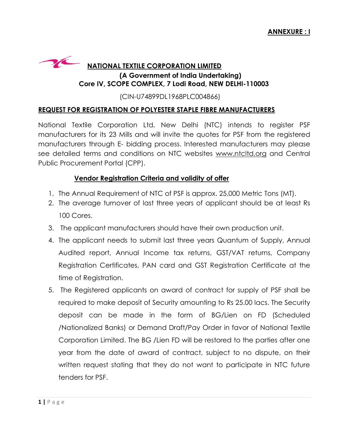## **NATIONAL TEXTILE CORPORATION LIMITED (A Government of India Undertaking) Core IV, SCOPE COMPLEX, 7 Lodi Road, NEW DELHI-110003**

(CIN-U74899DL1968PLC004866)

## **REQUEST FOR REGISTRATION OF POLYESTER STAPLE FIBRE MANUFACTURERS**

National Textile Corporation Ltd, New Delhi (NTC) intends to register PSF manufacturers for its 23 Mills and will invite the quotes for PSF from the registered manufacturers through E- bidding process. Interested manufacturers may please see detailed terms and conditions on NTC websites [www.ntcltd.org](http://www.ntcltd.org/) and Central Public Procurement Portal (CPP).

## **Vendor Registration Criteria and validity of offer**

- 1. The Annual Requirement of NTC of PSF is approx. 25,000 Metric Tons (MT).
- 2. The average turnover of last three years of applicant should be at least Rs 100 Cores.
- 3. The applicant manufacturers should have their own production unit.
- 4. The applicant needs to submit last three years Quantum of Supply, Annual Audited report, Annual Income tax returns, GST/VAT returns, Company Registration Certificates, PAN card and GST Registration Certificate at the time of Registration.
- 5. The Registered applicants on award of contract for supply of PSF shall be required to make deposit of Security amounting to Rs 25.00 lacs. The Security deposit can be made in the form of BG/Lien on FD (Scheduled /Nationalized Banks) or Demand Draft/Pay Order in favor of National Textile Corporation Limited. The BG /Lien FD will be restored to the parties after one year from the date of award of contract, subject to no dispute, on their written request stating that they do not want to participate in NTC future tenders for PSF.